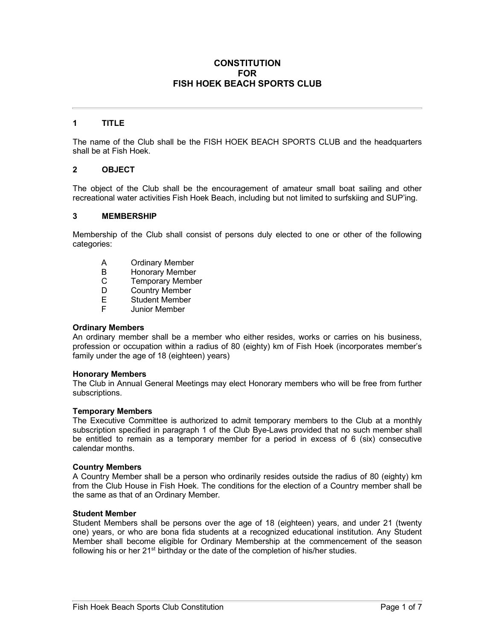### **CONSTITUTION FOR FISH HOEK BEACH SPORTS CLUB**

# **1 TITLE**

The name of the Club shall be the FISH HOEK BEACH SPORTS CLUB and the headquarters shall be at Fish Hoek.

### **2 OBJECT**

The object of the Club shall be the encouragement of amateur small boat sailing and other recreational water activities Fish Hoek Beach, including but not limited to surfskiing and SUP'ing.

#### **3 MEMBERSHIP**

Membership of the Club shall consist of persons duly elected to one or other of the following categories:

- A Ordinary Member<br>B Honorary Member
- B Honorary Member<br>C Temporary Membe
- **Temporary Member**
- D Country Member
- E Student Member
- F Junior Member

#### **Ordinary Members**

An ordinary member shall be a member who either resides, works or carries on his business, profession or occupation within a radius of 80 (eighty) km of Fish Hoek (incorporates member's family under the age of 18 (eighteen) years)

#### **Honorary Members**

The Club in Annual General Meetings may elect Honorary members who will be free from further subscriptions.

#### **Temporary Members**

The Executive Committee is authorized to admit temporary members to the Club at a monthly subscription specified in paragraph 1 of the Club Bye-Laws provided that no such member shall be entitled to remain as a temporary member for a period in excess of 6 (six) consecutive calendar months.

#### **Country Members**

A Country Member shall be a person who ordinarily resides outside the radius of 80 (eighty) km from the Club House in Fish Hoek. The conditions for the election of a Country member shall be the same as that of an Ordinary Member.

#### **Student Member**

Student Members shall be persons over the age of 18 (eighteen) years, and under 21 (twenty one) years, or who are bona fida students at a recognized educational institution. Any Student Member shall become eligible for Ordinary Membership at the commencement of the season following his or her  $21<sup>st</sup>$  birthday or the date of the completion of his/her studies.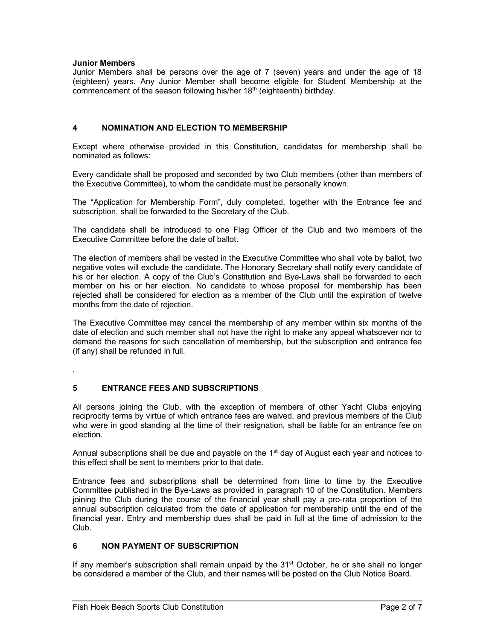### **Junior Members**

Junior Members shall be persons over the age of 7 (seven) years and under the age of 18 (eighteen) years. Any Junior Member shall become eligible for Student Membership at the commencement of the season following his/her 18<sup>th</sup> (eighteenth) birthday.

### **4 NOMINATION AND ELECTION TO MEMBERSHIP**

Except where otherwise provided in this Constitution, candidates for membership shall be nominated as follows:

Every candidate shall be proposed and seconded by two Club members (other than members of the Executive Committee), to whom the candidate must be personally known.

The "Application for Membership Form", duly completed, together with the Entrance fee and subscription, shall be forwarded to the Secretary of the Club.

The candidate shall be introduced to one Flag Officer of the Club and two members of the Executive Committee before the date of ballot.

The election of members shall be vested in the Executive Committee who shall vote by ballot, two negative votes will exclude the candidate. The Honorary Secretary shall notify every candidate of his or her election. A copy of the Club's Constitution and Bye-Laws shall be forwarded to each member on his or her election. No candidate to whose proposal for membership has been rejected shall be considered for election as a member of the Club until the expiration of twelve months from the date of rejection.

The Executive Committee may cancel the membership of any member within six months of the date of election and such member shall not have the right to make any appeal whatsoever nor to demand the reasons for such cancellation of membership, but the subscription and entrance fee (if any) shall be refunded in full.

.

# **5 ENTRANCE FEES AND SUBSCRIPTIONS**

All persons joining the Club, with the exception of members of other Yacht Clubs enjoying reciprocity terms by virtue of which entrance fees are waived, and previous members of the Club who were in good standing at the time of their resignation, shall be liable for an entrance fee on election.

Annual subscriptions shall be due and payable on the 1<sup>st</sup> day of August each year and notices to this effect shall be sent to members prior to that date.

Entrance fees and subscriptions shall be determined from time to time by the Executive Committee published in the Bye-Laws as provided in paragraph 10 of the Constitution. Members joining the Club during the course of the financial year shall pay a pro-rata proportion of the annual subscription calculated from the date of application for membership until the end of the financial year. Entry and membership dues shall be paid in full at the time of admission to the Club.

# **6 NON PAYMENT OF SUBSCRIPTION**

If any member's subscription shall remain unpaid by the  $31<sup>st</sup>$  October, he or she shall no longer be considered a member of the Club, and their names will be posted on the Club Notice Board.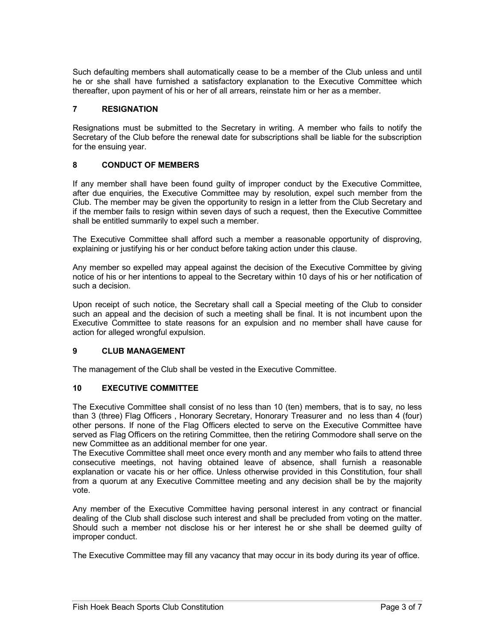Such defaulting members shall automatically cease to be a member of the Club unless and until he or she shall have furnished a satisfactory explanation to the Executive Committee which thereafter, upon payment of his or her of all arrears, reinstate him or her as a member.

### **7 RESIGNATION**

Resignations must be submitted to the Secretary in writing. A member who fails to notify the Secretary of the Club before the renewal date for subscriptions shall be liable for the subscription for the ensuing year.

### **8 CONDUCT OF MEMBERS**

If any member shall have been found guilty of improper conduct by the Executive Committee, after due enquiries, the Executive Committee may by resolution, expel such member from the Club. The member may be given the opportunity to resign in a letter from the Club Secretary and if the member fails to resign within seven days of such a request, then the Executive Committee shall be entitled summarily to expel such a member.

The Executive Committee shall afford such a member a reasonable opportunity of disproving, explaining or justifying his or her conduct before taking action under this clause.

Any member so expelled may appeal against the decision of the Executive Committee by giving notice of his or her intentions to appeal to the Secretary within 10 days of his or her notification of such a decision.

Upon receipt of such notice, the Secretary shall call a Special meeting of the Club to consider such an appeal and the decision of such a meeting shall be final. It is not incumbent upon the Executive Committee to state reasons for an expulsion and no member shall have cause for action for alleged wrongful expulsion.

#### **9 CLUB MANAGEMENT**

The management of the Club shall be vested in the Executive Committee.

#### **10 EXECUTIVE COMMITTEE**

The Executive Committee shall consist of no less than 10 (ten) members, that is to say, no less than 3 (three) Flag Officers , Honorary Secretary, Honorary Treasurer and no less than 4 (four) other persons. If none of the Flag Officers elected to serve on the Executive Committee have served as Flag Officers on the retiring Committee, then the retiring Commodore shall serve on the new Committee as an additional member for one year.

The Executive Committee shall meet once every month and any member who fails to attend three consecutive meetings, not having obtained leave of absence, shall furnish a reasonable explanation or vacate his or her office. Unless otherwise provided in this Constitution, four shall from a quorum at any Executive Committee meeting and any decision shall be by the majority vote.

Any member of the Executive Committee having personal interest in any contract or financial dealing of the Club shall disclose such interest and shall be precluded from voting on the matter. Should such a member not disclose his or her interest he or she shall be deemed guilty of improper conduct.

The Executive Committee may fill any vacancy that may occur in its body during its year of office.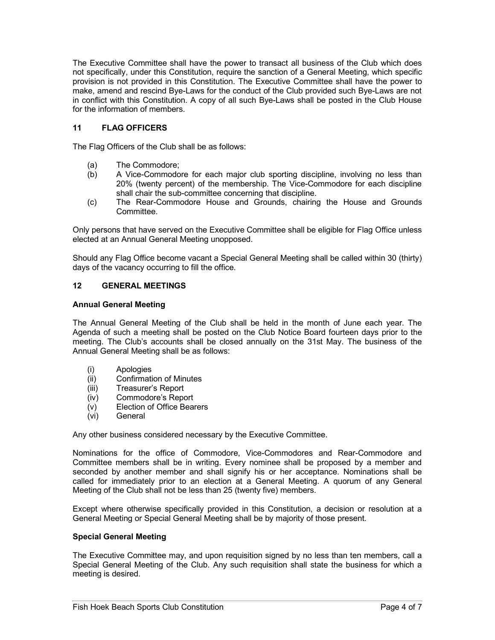The Executive Committee shall have the power to transact all business of the Club which does not specifically, under this Constitution, require the sanction of a General Meeting, which specific provision is not provided in this Constitution. The Executive Committee shall have the power to make, amend and rescind Bye-Laws for the conduct of the Club provided such Bye-Laws are not in conflict with this Constitution. A copy of all such Bye-Laws shall be posted in the Club House for the information of members.

# **11 FLAG OFFICERS**

The Flag Officers of the Club shall be as follows:

- (a) The Commodore;
- (b) A Vice-Commodore for each major club sporting discipline, involving no less than 20% (twenty percent) of the membership. The Vice-Commodore for each discipline shall chair the sub-committee concerning that discipline.
- (c) The Rear-Commodore House and Grounds, chairing the House and Grounds Committee.

Only persons that have served on the Executive Committee shall be eligible for Flag Office unless elected at an Annual General Meeting unopposed.

Should any Flag Office become vacant a Special General Meeting shall be called within 30 (thirty) days of the vacancy occurring to fill the office.

# **12 GENERAL MEETINGS**

### **Annual General Meeting**

The Annual General Meeting of the Club shall be held in the month of June each year. The Agenda of such a meeting shall be posted on the Club Notice Board fourteen days prior to the meeting. The Club's accounts shall be closed annually on the 31st May. The business of the Annual General Meeting shall be as follows:

- (i) Apologies
- (ii) Confirmation of Minutes
- (iii) Treasurer's Report
- (iv) Commodore's Report
- (v) Election of Office Bearers
- (vi) General

Any other business considered necessary by the Executive Committee.

Nominations for the office of Commodore, Vice-Commodores and Rear-Commodore and Committee members shall be in writing. Every nominee shall be proposed by a member and seconded by another member and shall signify his or her acceptance. Nominations shall be called for immediately prior to an election at a General Meeting. A quorum of any General Meeting of the Club shall not be less than 25 (twenty five) members.

Except where otherwise specifically provided in this Constitution, a decision or resolution at a General Meeting or Special General Meeting shall be by majority of those present.

#### **Special General Meeting**

The Executive Committee may, and upon requisition signed by no less than ten members, call a Special General Meeting of the Club. Any such requisition shall state the business for which a meeting is desired.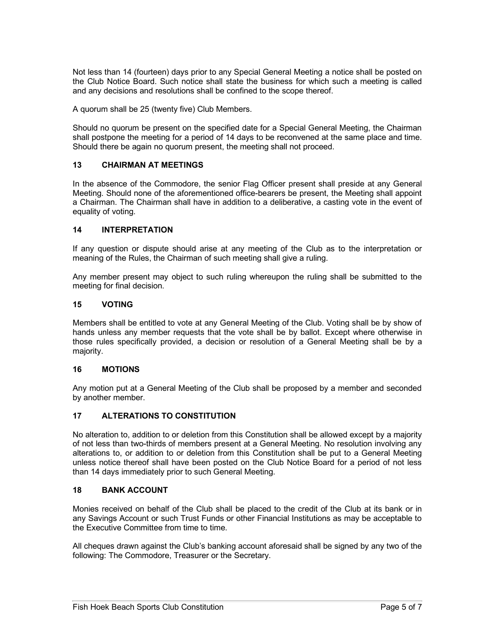Not less than 14 (fourteen) days prior to any Special General Meeting a notice shall be posted on the Club Notice Board. Such notice shall state the business for which such a meeting is called and any decisions and resolutions shall be confined to the scope thereof.

A quorum shall be 25 (twenty five) Club Members.

Should no quorum be present on the specified date for a Special General Meeting, the Chairman shall postpone the meeting for a period of 14 days to be reconvened at the same place and time. Should there be again no quorum present, the meeting shall not proceed.

# **13 CHAIRMAN AT MEETINGS**

In the absence of the Commodore, the senior Flag Officer present shall preside at any General Meeting. Should none of the aforementioned office-bearers be present, the Meeting shall appoint a Chairman. The Chairman shall have in addition to a deliberative, a casting vote in the event of equality of voting.

#### **14 INTERPRETATION**

If any question or dispute should arise at any meeting of the Club as to the interpretation or meaning of the Rules, the Chairman of such meeting shall give a ruling.

Any member present may object to such ruling whereupon the ruling shall be submitted to the meeting for final decision.

### **15 VOTING**

Members shall be entitled to vote at any General Meeting of the Club. Voting shall be by show of hands unless any member requests that the vote shall be by ballot. Except where otherwise in those rules specifically provided, a decision or resolution of a General Meeting shall be by a majority.

#### **16 MOTIONS**

Any motion put at a General Meeting of the Club shall be proposed by a member and seconded by another member.

#### **17 ALTERATIONS TO CONSTITUTION**

No alteration to, addition to or deletion from this Constitution shall be allowed except by a majority of not less than two-thirds of members present at a General Meeting. No resolution involving any alterations to, or addition to or deletion from this Constitution shall be put to a General Meeting unless notice thereof shall have been posted on the Club Notice Board for a period of not less than 14 days immediately prior to such General Meeting.

#### **18 BANK ACCOUNT**

Monies received on behalf of the Club shall be placed to the credit of the Club at its bank or in any Savings Account or such Trust Funds or other Financial Institutions as may be acceptable to the Executive Committee from time to time.

All cheques drawn against the Club's banking account aforesaid shall be signed by any two of the following: The Commodore, Treasurer or the Secretary.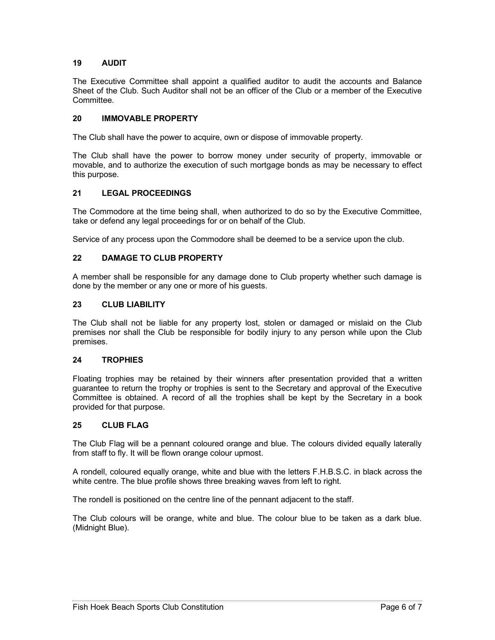# **19 AUDIT**

The Executive Committee shall appoint a qualified auditor to audit the accounts and Balance Sheet of the Club. Such Auditor shall not be an officer of the Club or a member of the Executive Committee.

# **20 IMMOVABLE PROPERTY**

The Club shall have the power to acquire, own or dispose of immovable property.

The Club shall have the power to borrow money under security of property, immovable or movable, and to authorize the execution of such mortgage bonds as may be necessary to effect this purpose.

# **21 LEGAL PROCEEDINGS**

The Commodore at the time being shall, when authorized to do so by the Executive Committee, take or defend any legal proceedings for or on behalf of the Club.

Service of any process upon the Commodore shall be deemed to be a service upon the club.

# **22 DAMAGE TO CLUB PROPERTY**

A member shall be responsible for any damage done to Club property whether such damage is done by the member or any one or more of his guests.

### **23 CLUB LIABILITY**

The Club shall not be liable for any property lost, stolen or damaged or mislaid on the Club premises nor shall the Club be responsible for bodily injury to any person while upon the Club premises.

# **24 TROPHIES**

Floating trophies may be retained by their winners after presentation provided that a written guarantee to return the trophy or trophies is sent to the Secretary and approval of the Executive Committee is obtained. A record of all the trophies shall be kept by the Secretary in a book provided for that purpose.

# **25 CLUB FLAG**

The Club Flag will be a pennant coloured orange and blue. The colours divided equally laterally from staff to fly. It will be flown orange colour upmost.

A rondell, coloured equally orange, white and blue with the letters F.H.B.S.C. in black across the white centre. The blue profile shows three breaking waves from left to right.

The rondell is positioned on the centre line of the pennant adjacent to the staff.

The Club colours will be orange, white and blue. The colour blue to be taken as a dark blue. (Midnight Blue).